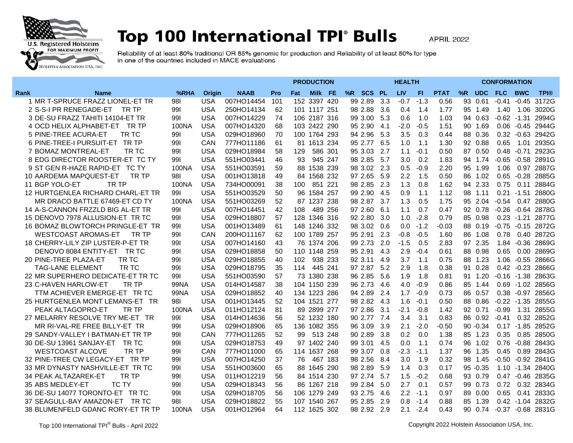

## Top 100 International TPI<sup>®</sup> Bulls

**APRIL 2022** 

Reliability of at least 80% traditional OR 85% genomic for production and Reliability of at least 80% for type<br>in one of the countries included in MACE evaluations

| <b>LIV</b><br>%R UDC FLC BWC<br>%RHA<br><b>NAAB</b><br><b>Pro</b><br>Milk FE<br>%R SCS PL<br>FI.<br><b>PTAT</b><br><b>TPI®</b><br>Rank<br><b>Name</b><br><b>Origin</b><br>Fat<br>1 MR T-SPRUCE FRAZZ LIONEL-ET TR<br>981<br><b>USA</b><br>007HO14454<br>152 3397 420<br>99 2.89<br>3.3<br>$-0.7$<br>$-1.3$<br>0.56<br>93 0.61<br>$-0.41$<br>$-0.45$<br>3172G<br>101<br>2 S-S-I PR RENEGADE-ET<br>TR TP<br>991<br><b>USA</b><br>250HO14134<br>62<br>101 1117 251<br>98 2.88<br>3.6<br>0.4<br>1.4<br>1.77<br>95 1.49<br>1.40<br>1.06<br>3020G<br>3 DE-SU FRAZZ TAHITI 14104-ET TR<br><b>USA</b><br>007HO14229<br>74<br>106 2187 316<br>99 3.00<br>5.3<br>94 0.63<br>$-0.62 -1.31$<br>2994G<br>991<br>0.6<br>1.0<br>1.03<br><b>USA</b><br>007HO14320<br>95 2.90<br>$-0.5$<br>0.06 -0.45 2944G<br>4 OCD HELIX ALPHABET-ET TR TP<br>100NA<br>68<br>103 2422 290<br>4.1<br>$-2.0$<br>1.51<br>90 1.69<br>5.3<br>0.3<br>5 PINE-TREE ACURA-ET<br>TR TC<br>991<br>USA<br>029HO18960<br>70<br>100 1764 293<br>94 2.96<br>3.5<br>0.44<br>88 0.36<br>0.32 -0.63 2942G<br>6 PINE-TREE-I PURSUIT-ET TR TP<br>95 2.77<br>92 0.88<br>0.65<br>1.01 2935G<br>991<br>CAN<br>777HO11186<br>61<br>81 1613 234<br>6.5<br>1.0<br>1.1<br>1.30<br><b>USA</b><br>$-0.1$<br>87 0.50<br>2923G<br>7 BOMAZ MONTREAL-ET<br>TR TC<br>991<br>029HO18984<br>58<br>129<br>586 301<br>95 3.03<br>2.7<br>1.1<br>0.50<br>$0.48 - 0.71$<br>8 EDG DIRECTOR ROOSTER-ET TC TY<br><b>USA</b><br>46<br>945 247<br>98 2.85<br>5.7<br>3.0<br>0.2<br>1.83<br>$-0.65 - 0.58$<br>2891G<br>991<br>551HO03441<br>93<br>94 1.74<br>9 ST GEN R-HAZE RAPID-ET TC TY<br><b>USA</b><br>88 1538 239<br>98 3.02<br>2.3<br>0.5<br>2.20<br>95 1.99<br>1.06<br>2887G<br>100NA<br>551HO03591<br>59<br>$-0.9$<br>0.97<br><b>USA</b><br>84 1568 232<br>97 2.65<br>5.9<br>2.2<br>1.5<br>0.50<br>86 1.02<br>0.65 -0.28 2885G<br>10 AARDEMA MAPQUEST-ET<br>TR TP<br>981<br>001HO13818<br>49<br>TR TP<br><b>USA</b><br>1.3<br>94 2.33<br>0.75<br>11 BGP YOLO-ET<br>100NA<br>734HO00091<br>38<br>851 221<br>98 2.85<br>2.3<br>0.8<br>1.62<br>0.11 2884G<br>100<br><b>USA</b><br>12 HURTGENLEA RICHARD CHARL-ET TR<br>991<br>551HO03529<br>50<br>96 1584 257<br>99 2.90<br>4.5<br>0.9<br>1.1<br>1.12<br>98 1.11<br>0.21 -1.51 2880G<br>100NA<br><b>USA</b><br>52<br>98 2.87<br>1.3<br>0.5<br>95 2.04<br>$-0.54$<br>0.47 2880G<br>MR DRACO BATTLE 67469-ET CD TY<br>551HO03269<br>87 1237 238<br>3.7<br>1.75<br>14 A-S-CANNON FRZZLD BIG AL-ET TR<br><b>USA</b><br>0.7<br>$-0.26 - 0.64$<br>991<br>007HO14451<br>42<br>108<br>489 256<br>97 2.60<br>6.1<br>1.1<br>0.47<br>92 0.78<br>2878G<br><b>USA</b><br>92 2.80<br>$-2.8$<br>$0.23 - 1.21$<br>15 DENOVO 7978 ALLUSION-ET TR TC<br>991<br>029HO18807<br>57<br>128 1346 316<br>3.0<br>1.0<br>0.79<br>85 0.98<br>2877G<br>16 BOMAZ BLOWTORCH PRINGLE-ET TR<br><b>USA</b><br>148 1246 332<br>98 3.02<br>0.6<br>$-1.2$<br>$-0.03$<br>88 0.19<br>-0.75 -0.15 2872G<br>991<br>001HO13489<br>61<br>0.0<br><b>WESTCOAST AROMAS-ET</b><br>62<br>100 1789 257<br>95 2.91<br>2.3<br>$-0.5$<br>0.78<br>0.40 2872G<br>TR TP<br>991<br>CAN<br>200HO11167<br>$-0.8$<br>1.60<br>86 1.08<br>18 CHERRY-LILY ZIP LUSTER-P-ET TR<br><b>USA</b><br>99 2.73<br>2.0<br>97 2.35<br>1.84 - 0.36 2869G<br>991<br>007HO14160<br>43<br>76 1374 206<br>$-1.5$<br>0.5<br>2.83<br>DENOVO 8084 ENTITY-ET TR TC<br>991<br><b>USA</b><br>029HO18858<br>50<br>110 1148 259<br>95 2.91<br>4.3<br>2.9<br>$-0.4$<br>0.61<br>88 0.98<br>0.65<br>0.00 2869G<br>20 PINE-TREE PLAZA-ET<br>88 1.23<br>1.06 -0.55 2866G<br>TR TC<br>991<br><b>USA</b><br>029HO18855<br>40<br>102<br>938 233<br>92 3.11<br>3.7<br>1.1<br>0.75<br>-4.9<br>97 2.87<br>0.28<br>0.42 -0.23 2866G<br><b>TAG-LANE ELEMENT</b><br>TR TC<br>991<br><b>USA</b><br>029HO18795<br>35<br>114<br>445 241<br>5.2<br>2.9<br>1.8<br>0.38<br>91<br>57<br>73 1380 238<br>96 2.85<br>1.8<br>91 1.20<br>$-0.16 - 1.38$ 2863G<br>22 MR SUPERHERO DEDICATE-ET TR TC<br>991<br><b>USA</b><br>551HO03590<br>5.6<br>1.9<br>0.81<br>TR TP<br>96 2.73<br>0.69 - 1.02 2856G<br>23 C-HAVEN HARLOW-ET<br><b>USA</b><br>014HO14587<br>38<br>104 1150 239<br>4.6<br>4.0<br>$-0.9$<br>0.86<br>85 1.44<br>99NA<br><b>USA</b><br>94 2.89<br>0.73<br>0.38 -0.97 2856G<br>TTM ACHIEVER EMERGE-ET TR TC<br>99NA<br>029HO18852<br>40<br>134 1223 286<br>2.4<br>1.7<br>$-0.9$<br>86 0.57<br><b>USA</b><br>$-0.22$ $-1.35$ 2855G<br>25 HURTGENLEA MONT LEMANS-ET TR<br>981<br>001HO13445<br>52<br>104 1521 277<br>98 2.82 4.3<br>1.6<br>$-0.1$<br>0.50<br>88 0.86<br>PEAK ALTAGOPRO-ET<br>TR TP<br>100NA<br><b>USA</b><br>011HO12124<br>81<br>89 2899 277<br>97 2.86<br>3.1<br>$-2.1$<br>$-0.8$<br>1.42<br>92 0.71<br>$-0.99$<br>1.31 2855G<br><b>USA</b><br>56<br>27 MELARRY RESOLVE TRY ME-ET TR<br>991<br>014HO14636<br>52 1232 180<br>90 2.77 7.4<br>3.4<br>3.1<br>0.83<br>86 0.92<br>$-0.41$<br>0.32 2852G<br><b>USA</b><br>MR RI-VAL-RE FREE BILLY-ET TR<br>991<br>029HO18906<br>65<br>136 1082 355<br>96 3.09<br>3.9<br>2.1<br>$-2.0$<br>$-0.50$<br>$90 - 0.34$<br>0.17 -1.85 2852G<br>29 SANDY-VALLEY I BATMAN-ET TR TP<br>777HO11265<br>52<br>513 248<br>90 2.89<br>0.2<br>0.0<br>85 1.23<br>0.35<br>0.85 2850G<br>991<br>CAN<br>99<br>3.8<br>1.38<br><b>USA</b><br>99 3.01<br>1.1<br>96 1.02<br>0.76 -0.88 2843G<br>30 DE-SU 13961 SANJAY-ET TR TC<br>991<br>029HO18753<br>49<br>97 1402 240<br>4.5<br>0.0<br>0.74<br><b>WESTCOAST ALCOVE</b><br>TR TP<br>0.89 2843G<br>991<br>CAN<br>777HO11000<br>65<br>114 1637 268<br>99 3.07<br>0.8<br>$-2.3$<br>$-1.1$<br>1.37<br>96 1.35<br>0.45<br>32 PINE-TREE CW LEGACY-ET TR TP<br><b>USA</b><br>98 2.56<br>0.32<br>-0.50 -0.92 2841G<br>991<br>007HO14250<br>37<br>467 183<br>8.4<br>3.0<br>1.9<br>98 1.45<br>76<br>0.3<br>33 MR DYNASTY NASHVILLE-ET TR TC<br>991<br><b>USA</b><br>551HO03600<br>65<br>88 1645 290<br>98 2.89<br>5.9<br>0.17<br>$95 - 0.35$<br>1.10 -1.34 2840G<br>1.4<br>TR TP<br>56<br>1.5<br>34 PEAK ALTAZAREK-ET<br>991<br><b>USA</b><br>011HO12219<br>84 1514 230<br>97 2.74<br>5.7<br>$-0.2$<br>0.68<br>93 0.79<br>0.47 -0.46 2835G<br><b>TC TY</b><br>99 0.73<br>0.72<br>35 ABS MEDLEY-ET<br>991<br><b>USA</b><br>029HO18343<br>56<br>86<br>1267 218<br>99 2.84<br>5.0<br>2.7<br>0.1<br>0.57<br>0.32 2834G<br>36 DE-SU 14077 TORONTO-ET TR TC<br><b>USA</b><br>2.2<br>89 0.00<br>0.65<br>0.41<br>2833G<br>991<br>029HO18705<br>56<br>106 1279 249<br>93 2.75<br>4.6<br>0.97<br>$-1.1$<br>95 2.85<br>37 SEAGULL-BAY AMAZON-ET<br>TR TC<br><b>USA</b><br>029HO18822<br>55<br>107 1540 267<br>2.9<br>0.8<br>$-1.4$<br>0.88<br>85 1.39<br>$0.42 - 1.04$<br>2832G<br>98I<br><b>USA</b><br>-0.37 -0.68 2831G<br>38 BLUMENFELD GDANC RORY-ET TR TP<br>100NA<br>001HO12964<br>112 1625 302<br>98 2.92<br>2.9<br>2.1<br>$-2.4$<br>0.43<br>90 0.74<br>64 |  |  |  | <b>PRODUCTION</b> | <b>HEALTH</b> |  |  |  |  | <b>CONFORMATION</b> |  |  |  |  |  |
|---------------------------------------------------------------------------------------------------------------------------------------------------------------------------------------------------------------------------------------------------------------------------------------------------------------------------------------------------------------------------------------------------------------------------------------------------------------------------------------------------------------------------------------------------------------------------------------------------------------------------------------------------------------------------------------------------------------------------------------------------------------------------------------------------------------------------------------------------------------------------------------------------------------------------------------------------------------------------------------------------------------------------------------------------------------------------------------------------------------------------------------------------------------------------------------------------------------------------------------------------------------------------------------------------------------------------------------------------------------------------------------------------------------------------------------------------------------------------------------------------------------------------------------------------------------------------------------------------------------------------------------------------------------------------------------------------------------------------------------------------------------------------------------------------------------------------------------------------------------------------------------------------------------------------------------------------------------------------------------------------------------------------------------------------------------------------------------------------------------------------------------------------------------------------------------------------------------------------------------------------------------------------------------------------------------------------------------------------------------------------------------------------------------------------------------------------------------------------------------------------------------------------------------------------------------------------------------------------------------------------------------------------------------------------------------------------------------------------------------------------------------------------------------------------------------------------------------------------------------------------------------------------------------------------------------------------------------------------------------------------------------------------------------------------------------------------------------------------------------------------------------------------------------------------------------------------------------------------------------------------------------------------------------------------------------------------------------------------------------------------------------------------------------------------------------------------------------------------------------------------------------------------------------------------------------------------------------------------------------------------------------------------------------------------------------------------------------------------------------------------------------------------------------------------------------------------------------------------------------------------------------------------------------------------------------------------------------------------------------------------------------------------------------------------------------------------------------------------------------------------------------------------------------------------------------------------------------------------------------------------------------------------------------------------------------------------------------------------------------------------------------------------------------------------------------------------------------------------------------------------------------------------------------------------------------------------------------------------------------------------------------------------------------------------------------------------------------------------------------------------------------------------------------------------------------------------------------------------------------------------------------------------------------------------------------------------------------------------------------------------------------------------------------------------------------------------------------------------------------------------------------------------------------------------------------------------------------------------------------------------------------------------------------------------------------------------------------------------------------------------------------------------------------------------------------------------------------------------------------------------------------------------------------------------------------------------------------------------------------------------------------------------------------------------------------------------------------------------------------------------------------------------------------------------------------------------------------------------------------------------------------------------------------------------------------------------------------------------------------------------------------------------------------------------------------------------------------------------------------------------------------------------------------------------------------------------------------------------------------------------------------------------------------------------------------------------------------------------------------------------------------------------------------------------------------------------------------------------------------------------------------------------------------------------------------------------------------------------------------------------------------------------------------------------------------------------------------------------------------------------------------------------------------------------|--|--|--|-------------------|---------------|--|--|--|--|---------------------|--|--|--|--|--|
|                                                                                                                                                                                                                                                                                                                                                                                                                                                                                                                                                                                                                                                                                                                                                                                                                                                                                                                                                                                                                                                                                                                                                                                                                                                                                                                                                                                                                                                                                                                                                                                                                                                                                                                                                                                                                                                                                                                                                                                                                                                                                                                                                                                                                                                                                                                                                                                                                                                                                                                                                                                                                                                                                                                                                                                                                                                                                                                                                                                                                                                                                                                                                                                                                                                                                                                                                                                                                                                                                                                                                                                                                                                                                                                                                                                                                                                                                                                                                                                                                                                                                                                                                                                                                                                                                                                                                                                                                                                                                                                                                                                                                                                                                                                                                                                                                                                                                                                                                                                                                                                                                                                                                                                                                                                                                                                                                                                                                                                                                                                                                                                                                                                                                                                                                                                                                                                                                                                                                                                                                                                                                                                                                                                                                                                                                                                                                                                                                                                                                                                                                                                                                                                                                                                                                                                                   |  |  |  |                   |               |  |  |  |  |                     |  |  |  |  |  |
|                                                                                                                                                                                                                                                                                                                                                                                                                                                                                                                                                                                                                                                                                                                                                                                                                                                                                                                                                                                                                                                                                                                                                                                                                                                                                                                                                                                                                                                                                                                                                                                                                                                                                                                                                                                                                                                                                                                                                                                                                                                                                                                                                                                                                                                                                                                                                                                                                                                                                                                                                                                                                                                                                                                                                                                                                                                                                                                                                                                                                                                                                                                                                                                                                                                                                                                                                                                                                                                                                                                                                                                                                                                                                                                                                                                                                                                                                                                                                                                                                                                                                                                                                                                                                                                                                                                                                                                                                                                                                                                                                                                                                                                                                                                                                                                                                                                                                                                                                                                                                                                                                                                                                                                                                                                                                                                                                                                                                                                                                                                                                                                                                                                                                                                                                                                                                                                                                                                                                                                                                                                                                                                                                                                                                                                                                                                                                                                                                                                                                                                                                                                                                                                                                                                                                                                                   |  |  |  |                   |               |  |  |  |  |                     |  |  |  |  |  |
|                                                                                                                                                                                                                                                                                                                                                                                                                                                                                                                                                                                                                                                                                                                                                                                                                                                                                                                                                                                                                                                                                                                                                                                                                                                                                                                                                                                                                                                                                                                                                                                                                                                                                                                                                                                                                                                                                                                                                                                                                                                                                                                                                                                                                                                                                                                                                                                                                                                                                                                                                                                                                                                                                                                                                                                                                                                                                                                                                                                                                                                                                                                                                                                                                                                                                                                                                                                                                                                                                                                                                                                                                                                                                                                                                                                                                                                                                                                                                                                                                                                                                                                                                                                                                                                                                                                                                                                                                                                                                                                                                                                                                                                                                                                                                                                                                                                                                                                                                                                                                                                                                                                                                                                                                                                                                                                                                                                                                                                                                                                                                                                                                                                                                                                                                                                                                                                                                                                                                                                                                                                                                                                                                                                                                                                                                                                                                                                                                                                                                                                                                                                                                                                                                                                                                                                                   |  |  |  |                   |               |  |  |  |  |                     |  |  |  |  |  |
|                                                                                                                                                                                                                                                                                                                                                                                                                                                                                                                                                                                                                                                                                                                                                                                                                                                                                                                                                                                                                                                                                                                                                                                                                                                                                                                                                                                                                                                                                                                                                                                                                                                                                                                                                                                                                                                                                                                                                                                                                                                                                                                                                                                                                                                                                                                                                                                                                                                                                                                                                                                                                                                                                                                                                                                                                                                                                                                                                                                                                                                                                                                                                                                                                                                                                                                                                                                                                                                                                                                                                                                                                                                                                                                                                                                                                                                                                                                                                                                                                                                                                                                                                                                                                                                                                                                                                                                                                                                                                                                                                                                                                                                                                                                                                                                                                                                                                                                                                                                                                                                                                                                                                                                                                                                                                                                                                                                                                                                                                                                                                                                                                                                                                                                                                                                                                                                                                                                                                                                                                                                                                                                                                                                                                                                                                                                                                                                                                                                                                                                                                                                                                                                                                                                                                                                                   |  |  |  |                   |               |  |  |  |  |                     |  |  |  |  |  |
|                                                                                                                                                                                                                                                                                                                                                                                                                                                                                                                                                                                                                                                                                                                                                                                                                                                                                                                                                                                                                                                                                                                                                                                                                                                                                                                                                                                                                                                                                                                                                                                                                                                                                                                                                                                                                                                                                                                                                                                                                                                                                                                                                                                                                                                                                                                                                                                                                                                                                                                                                                                                                                                                                                                                                                                                                                                                                                                                                                                                                                                                                                                                                                                                                                                                                                                                                                                                                                                                                                                                                                                                                                                                                                                                                                                                                                                                                                                                                                                                                                                                                                                                                                                                                                                                                                                                                                                                                                                                                                                                                                                                                                                                                                                                                                                                                                                                                                                                                                                                                                                                                                                                                                                                                                                                                                                                                                                                                                                                                                                                                                                                                                                                                                                                                                                                                                                                                                                                                                                                                                                                                                                                                                                                                                                                                                                                                                                                                                                                                                                                                                                                                                                                                                                                                                                                   |  |  |  |                   |               |  |  |  |  |                     |  |  |  |  |  |
|                                                                                                                                                                                                                                                                                                                                                                                                                                                                                                                                                                                                                                                                                                                                                                                                                                                                                                                                                                                                                                                                                                                                                                                                                                                                                                                                                                                                                                                                                                                                                                                                                                                                                                                                                                                                                                                                                                                                                                                                                                                                                                                                                                                                                                                                                                                                                                                                                                                                                                                                                                                                                                                                                                                                                                                                                                                                                                                                                                                                                                                                                                                                                                                                                                                                                                                                                                                                                                                                                                                                                                                                                                                                                                                                                                                                                                                                                                                                                                                                                                                                                                                                                                                                                                                                                                                                                                                                                                                                                                                                                                                                                                                                                                                                                                                                                                                                                                                                                                                                                                                                                                                                                                                                                                                                                                                                                                                                                                                                                                                                                                                                                                                                                                                                                                                                                                                                                                                                                                                                                                                                                                                                                                                                                                                                                                                                                                                                                                                                                                                                                                                                                                                                                                                                                                                                   |  |  |  |                   |               |  |  |  |  |                     |  |  |  |  |  |
|                                                                                                                                                                                                                                                                                                                                                                                                                                                                                                                                                                                                                                                                                                                                                                                                                                                                                                                                                                                                                                                                                                                                                                                                                                                                                                                                                                                                                                                                                                                                                                                                                                                                                                                                                                                                                                                                                                                                                                                                                                                                                                                                                                                                                                                                                                                                                                                                                                                                                                                                                                                                                                                                                                                                                                                                                                                                                                                                                                                                                                                                                                                                                                                                                                                                                                                                                                                                                                                                                                                                                                                                                                                                                                                                                                                                                                                                                                                                                                                                                                                                                                                                                                                                                                                                                                                                                                                                                                                                                                                                                                                                                                                                                                                                                                                                                                                                                                                                                                                                                                                                                                                                                                                                                                                                                                                                                                                                                                                                                                                                                                                                                                                                                                                                                                                                                                                                                                                                                                                                                                                                                                                                                                                                                                                                                                                                                                                                                                                                                                                                                                                                                                                                                                                                                                                                   |  |  |  |                   |               |  |  |  |  |                     |  |  |  |  |  |
|                                                                                                                                                                                                                                                                                                                                                                                                                                                                                                                                                                                                                                                                                                                                                                                                                                                                                                                                                                                                                                                                                                                                                                                                                                                                                                                                                                                                                                                                                                                                                                                                                                                                                                                                                                                                                                                                                                                                                                                                                                                                                                                                                                                                                                                                                                                                                                                                                                                                                                                                                                                                                                                                                                                                                                                                                                                                                                                                                                                                                                                                                                                                                                                                                                                                                                                                                                                                                                                                                                                                                                                                                                                                                                                                                                                                                                                                                                                                                                                                                                                                                                                                                                                                                                                                                                                                                                                                                                                                                                                                                                                                                                                                                                                                                                                                                                                                                                                                                                                                                                                                                                                                                                                                                                                                                                                                                                                                                                                                                                                                                                                                                                                                                                                                                                                                                                                                                                                                                                                                                                                                                                                                                                                                                                                                                                                                                                                                                                                                                                                                                                                                                                                                                                                                                                                                   |  |  |  |                   |               |  |  |  |  |                     |  |  |  |  |  |
|                                                                                                                                                                                                                                                                                                                                                                                                                                                                                                                                                                                                                                                                                                                                                                                                                                                                                                                                                                                                                                                                                                                                                                                                                                                                                                                                                                                                                                                                                                                                                                                                                                                                                                                                                                                                                                                                                                                                                                                                                                                                                                                                                                                                                                                                                                                                                                                                                                                                                                                                                                                                                                                                                                                                                                                                                                                                                                                                                                                                                                                                                                                                                                                                                                                                                                                                                                                                                                                                                                                                                                                                                                                                                                                                                                                                                                                                                                                                                                                                                                                                                                                                                                                                                                                                                                                                                                                                                                                                                                                                                                                                                                                                                                                                                                                                                                                                                                                                                                                                                                                                                                                                                                                                                                                                                                                                                                                                                                                                                                                                                                                                                                                                                                                                                                                                                                                                                                                                                                                                                                                                                                                                                                                                                                                                                                                                                                                                                                                                                                                                                                                                                                                                                                                                                                                                   |  |  |  |                   |               |  |  |  |  |                     |  |  |  |  |  |
|                                                                                                                                                                                                                                                                                                                                                                                                                                                                                                                                                                                                                                                                                                                                                                                                                                                                                                                                                                                                                                                                                                                                                                                                                                                                                                                                                                                                                                                                                                                                                                                                                                                                                                                                                                                                                                                                                                                                                                                                                                                                                                                                                                                                                                                                                                                                                                                                                                                                                                                                                                                                                                                                                                                                                                                                                                                                                                                                                                                                                                                                                                                                                                                                                                                                                                                                                                                                                                                                                                                                                                                                                                                                                                                                                                                                                                                                                                                                                                                                                                                                                                                                                                                                                                                                                                                                                                                                                                                                                                                                                                                                                                                                                                                                                                                                                                                                                                                                                                                                                                                                                                                                                                                                                                                                                                                                                                                                                                                                                                                                                                                                                                                                                                                                                                                                                                                                                                                                                                                                                                                                                                                                                                                                                                                                                                                                                                                                                                                                                                                                                                                                                                                                                                                                                                                                   |  |  |  |                   |               |  |  |  |  |                     |  |  |  |  |  |
|                                                                                                                                                                                                                                                                                                                                                                                                                                                                                                                                                                                                                                                                                                                                                                                                                                                                                                                                                                                                                                                                                                                                                                                                                                                                                                                                                                                                                                                                                                                                                                                                                                                                                                                                                                                                                                                                                                                                                                                                                                                                                                                                                                                                                                                                                                                                                                                                                                                                                                                                                                                                                                                                                                                                                                                                                                                                                                                                                                                                                                                                                                                                                                                                                                                                                                                                                                                                                                                                                                                                                                                                                                                                                                                                                                                                                                                                                                                                                                                                                                                                                                                                                                                                                                                                                                                                                                                                                                                                                                                                                                                                                                                                                                                                                                                                                                                                                                                                                                                                                                                                                                                                                                                                                                                                                                                                                                                                                                                                                                                                                                                                                                                                                                                                                                                                                                                                                                                                                                                                                                                                                                                                                                                                                                                                                                                                                                                                                                                                                                                                                                                                                                                                                                                                                                                                   |  |  |  |                   |               |  |  |  |  |                     |  |  |  |  |  |
|                                                                                                                                                                                                                                                                                                                                                                                                                                                                                                                                                                                                                                                                                                                                                                                                                                                                                                                                                                                                                                                                                                                                                                                                                                                                                                                                                                                                                                                                                                                                                                                                                                                                                                                                                                                                                                                                                                                                                                                                                                                                                                                                                                                                                                                                                                                                                                                                                                                                                                                                                                                                                                                                                                                                                                                                                                                                                                                                                                                                                                                                                                                                                                                                                                                                                                                                                                                                                                                                                                                                                                                                                                                                                                                                                                                                                                                                                                                                                                                                                                                                                                                                                                                                                                                                                                                                                                                                                                                                                                                                                                                                                                                                                                                                                                                                                                                                                                                                                                                                                                                                                                                                                                                                                                                                                                                                                                                                                                                                                                                                                                                                                                                                                                                                                                                                                                                                                                                                                                                                                                                                                                                                                                                                                                                                                                                                                                                                                                                                                                                                                                                                                                                                                                                                                                                                   |  |  |  |                   |               |  |  |  |  |                     |  |  |  |  |  |
|                                                                                                                                                                                                                                                                                                                                                                                                                                                                                                                                                                                                                                                                                                                                                                                                                                                                                                                                                                                                                                                                                                                                                                                                                                                                                                                                                                                                                                                                                                                                                                                                                                                                                                                                                                                                                                                                                                                                                                                                                                                                                                                                                                                                                                                                                                                                                                                                                                                                                                                                                                                                                                                                                                                                                                                                                                                                                                                                                                                                                                                                                                                                                                                                                                                                                                                                                                                                                                                                                                                                                                                                                                                                                                                                                                                                                                                                                                                                                                                                                                                                                                                                                                                                                                                                                                                                                                                                                                                                                                                                                                                                                                                                                                                                                                                                                                                                                                                                                                                                                                                                                                                                                                                                                                                                                                                                                                                                                                                                                                                                                                                                                                                                                                                                                                                                                                                                                                                                                                                                                                                                                                                                                                                                                                                                                                                                                                                                                                                                                                                                                                                                                                                                                                                                                                                                   |  |  |  |                   |               |  |  |  |  |                     |  |  |  |  |  |
|                                                                                                                                                                                                                                                                                                                                                                                                                                                                                                                                                                                                                                                                                                                                                                                                                                                                                                                                                                                                                                                                                                                                                                                                                                                                                                                                                                                                                                                                                                                                                                                                                                                                                                                                                                                                                                                                                                                                                                                                                                                                                                                                                                                                                                                                                                                                                                                                                                                                                                                                                                                                                                                                                                                                                                                                                                                                                                                                                                                                                                                                                                                                                                                                                                                                                                                                                                                                                                                                                                                                                                                                                                                                                                                                                                                                                                                                                                                                                                                                                                                                                                                                                                                                                                                                                                                                                                                                                                                                                                                                                                                                                                                                                                                                                                                                                                                                                                                                                                                                                                                                                                                                                                                                                                                                                                                                                                                                                                                                                                                                                                                                                                                                                                                                                                                                                                                                                                                                                                                                                                                                                                                                                                                                                                                                                                                                                                                                                                                                                                                                                                                                                                                                                                                                                                                                   |  |  |  |                   |               |  |  |  |  |                     |  |  |  |  |  |
|                                                                                                                                                                                                                                                                                                                                                                                                                                                                                                                                                                                                                                                                                                                                                                                                                                                                                                                                                                                                                                                                                                                                                                                                                                                                                                                                                                                                                                                                                                                                                                                                                                                                                                                                                                                                                                                                                                                                                                                                                                                                                                                                                                                                                                                                                                                                                                                                                                                                                                                                                                                                                                                                                                                                                                                                                                                                                                                                                                                                                                                                                                                                                                                                                                                                                                                                                                                                                                                                                                                                                                                                                                                                                                                                                                                                                                                                                                                                                                                                                                                                                                                                                                                                                                                                                                                                                                                                                                                                                                                                                                                                                                                                                                                                                                                                                                                                                                                                                                                                                                                                                                                                                                                                                                                                                                                                                                                                                                                                                                                                                                                                                                                                                                                                                                                                                                                                                                                                                                                                                                                                                                                                                                                                                                                                                                                                                                                                                                                                                                                                                                                                                                                                                                                                                                                                   |  |  |  |                   |               |  |  |  |  |                     |  |  |  |  |  |
|                                                                                                                                                                                                                                                                                                                                                                                                                                                                                                                                                                                                                                                                                                                                                                                                                                                                                                                                                                                                                                                                                                                                                                                                                                                                                                                                                                                                                                                                                                                                                                                                                                                                                                                                                                                                                                                                                                                                                                                                                                                                                                                                                                                                                                                                                                                                                                                                                                                                                                                                                                                                                                                                                                                                                                                                                                                                                                                                                                                                                                                                                                                                                                                                                                                                                                                                                                                                                                                                                                                                                                                                                                                                                                                                                                                                                                                                                                                                                                                                                                                                                                                                                                                                                                                                                                                                                                                                                                                                                                                                                                                                                                                                                                                                                                                                                                                                                                                                                                                                                                                                                                                                                                                                                                                                                                                                                                                                                                                                                                                                                                                                                                                                                                                                                                                                                                                                                                                                                                                                                                                                                                                                                                                                                                                                                                                                                                                                                                                                                                                                                                                                                                                                                                                                                                                                   |  |  |  |                   |               |  |  |  |  |                     |  |  |  |  |  |
|                                                                                                                                                                                                                                                                                                                                                                                                                                                                                                                                                                                                                                                                                                                                                                                                                                                                                                                                                                                                                                                                                                                                                                                                                                                                                                                                                                                                                                                                                                                                                                                                                                                                                                                                                                                                                                                                                                                                                                                                                                                                                                                                                                                                                                                                                                                                                                                                                                                                                                                                                                                                                                                                                                                                                                                                                                                                                                                                                                                                                                                                                                                                                                                                                                                                                                                                                                                                                                                                                                                                                                                                                                                                                                                                                                                                                                                                                                                                                                                                                                                                                                                                                                                                                                                                                                                                                                                                                                                                                                                                                                                                                                                                                                                                                                                                                                                                                                                                                                                                                                                                                                                                                                                                                                                                                                                                                                                                                                                                                                                                                                                                                                                                                                                                                                                                                                                                                                                                                                                                                                                                                                                                                                                                                                                                                                                                                                                                                                                                                                                                                                                                                                                                                                                                                                                                   |  |  |  |                   |               |  |  |  |  |                     |  |  |  |  |  |
|                                                                                                                                                                                                                                                                                                                                                                                                                                                                                                                                                                                                                                                                                                                                                                                                                                                                                                                                                                                                                                                                                                                                                                                                                                                                                                                                                                                                                                                                                                                                                                                                                                                                                                                                                                                                                                                                                                                                                                                                                                                                                                                                                                                                                                                                                                                                                                                                                                                                                                                                                                                                                                                                                                                                                                                                                                                                                                                                                                                                                                                                                                                                                                                                                                                                                                                                                                                                                                                                                                                                                                                                                                                                                                                                                                                                                                                                                                                                                                                                                                                                                                                                                                                                                                                                                                                                                                                                                                                                                                                                                                                                                                                                                                                                                                                                                                                                                                                                                                                                                                                                                                                                                                                                                                                                                                                                                                                                                                                                                                                                                                                                                                                                                                                                                                                                                                                                                                                                                                                                                                                                                                                                                                                                                                                                                                                                                                                                                                                                                                                                                                                                                                                                                                                                                                                                   |  |  |  |                   |               |  |  |  |  |                     |  |  |  |  |  |
|                                                                                                                                                                                                                                                                                                                                                                                                                                                                                                                                                                                                                                                                                                                                                                                                                                                                                                                                                                                                                                                                                                                                                                                                                                                                                                                                                                                                                                                                                                                                                                                                                                                                                                                                                                                                                                                                                                                                                                                                                                                                                                                                                                                                                                                                                                                                                                                                                                                                                                                                                                                                                                                                                                                                                                                                                                                                                                                                                                                                                                                                                                                                                                                                                                                                                                                                                                                                                                                                                                                                                                                                                                                                                                                                                                                                                                                                                                                                                                                                                                                                                                                                                                                                                                                                                                                                                                                                                                                                                                                                                                                                                                                                                                                                                                                                                                                                                                                                                                                                                                                                                                                                                                                                                                                                                                                                                                                                                                                                                                                                                                                                                                                                                                                                                                                                                                                                                                                                                                                                                                                                                                                                                                                                                                                                                                                                                                                                                                                                                                                                                                                                                                                                                                                                                                                                   |  |  |  |                   |               |  |  |  |  |                     |  |  |  |  |  |
|                                                                                                                                                                                                                                                                                                                                                                                                                                                                                                                                                                                                                                                                                                                                                                                                                                                                                                                                                                                                                                                                                                                                                                                                                                                                                                                                                                                                                                                                                                                                                                                                                                                                                                                                                                                                                                                                                                                                                                                                                                                                                                                                                                                                                                                                                                                                                                                                                                                                                                                                                                                                                                                                                                                                                                                                                                                                                                                                                                                                                                                                                                                                                                                                                                                                                                                                                                                                                                                                                                                                                                                                                                                                                                                                                                                                                                                                                                                                                                                                                                                                                                                                                                                                                                                                                                                                                                                                                                                                                                                                                                                                                                                                                                                                                                                                                                                                                                                                                                                                                                                                                                                                                                                                                                                                                                                                                                                                                                                                                                                                                                                                                                                                                                                                                                                                                                                                                                                                                                                                                                                                                                                                                                                                                                                                                                                                                                                                                                                                                                                                                                                                                                                                                                                                                                                                   |  |  |  |                   |               |  |  |  |  |                     |  |  |  |  |  |
|                                                                                                                                                                                                                                                                                                                                                                                                                                                                                                                                                                                                                                                                                                                                                                                                                                                                                                                                                                                                                                                                                                                                                                                                                                                                                                                                                                                                                                                                                                                                                                                                                                                                                                                                                                                                                                                                                                                                                                                                                                                                                                                                                                                                                                                                                                                                                                                                                                                                                                                                                                                                                                                                                                                                                                                                                                                                                                                                                                                                                                                                                                                                                                                                                                                                                                                                                                                                                                                                                                                                                                                                                                                                                                                                                                                                                                                                                                                                                                                                                                                                                                                                                                                                                                                                                                                                                                                                                                                                                                                                                                                                                                                                                                                                                                                                                                                                                                                                                                                                                                                                                                                                                                                                                                                                                                                                                                                                                                                                                                                                                                                                                                                                                                                                                                                                                                                                                                                                                                                                                                                                                                                                                                                                                                                                                                                                                                                                                                                                                                                                                                                                                                                                                                                                                                                                   |  |  |  |                   |               |  |  |  |  |                     |  |  |  |  |  |
|                                                                                                                                                                                                                                                                                                                                                                                                                                                                                                                                                                                                                                                                                                                                                                                                                                                                                                                                                                                                                                                                                                                                                                                                                                                                                                                                                                                                                                                                                                                                                                                                                                                                                                                                                                                                                                                                                                                                                                                                                                                                                                                                                                                                                                                                                                                                                                                                                                                                                                                                                                                                                                                                                                                                                                                                                                                                                                                                                                                                                                                                                                                                                                                                                                                                                                                                                                                                                                                                                                                                                                                                                                                                                                                                                                                                                                                                                                                                                                                                                                                                                                                                                                                                                                                                                                                                                                                                                                                                                                                                                                                                                                                                                                                                                                                                                                                                                                                                                                                                                                                                                                                                                                                                                                                                                                                                                                                                                                                                                                                                                                                                                                                                                                                                                                                                                                                                                                                                                                                                                                                                                                                                                                                                                                                                                                                                                                                                                                                                                                                                                                                                                                                                                                                                                                                                   |  |  |  |                   |               |  |  |  |  |                     |  |  |  |  |  |
|                                                                                                                                                                                                                                                                                                                                                                                                                                                                                                                                                                                                                                                                                                                                                                                                                                                                                                                                                                                                                                                                                                                                                                                                                                                                                                                                                                                                                                                                                                                                                                                                                                                                                                                                                                                                                                                                                                                                                                                                                                                                                                                                                                                                                                                                                                                                                                                                                                                                                                                                                                                                                                                                                                                                                                                                                                                                                                                                                                                                                                                                                                                                                                                                                                                                                                                                                                                                                                                                                                                                                                                                                                                                                                                                                                                                                                                                                                                                                                                                                                                                                                                                                                                                                                                                                                                                                                                                                                                                                                                                                                                                                                                                                                                                                                                                                                                                                                                                                                                                                                                                                                                                                                                                                                                                                                                                                                                                                                                                                                                                                                                                                                                                                                                                                                                                                                                                                                                                                                                                                                                                                                                                                                                                                                                                                                                                                                                                                                                                                                                                                                                                                                                                                                                                                                                                   |  |  |  |                   |               |  |  |  |  |                     |  |  |  |  |  |
|                                                                                                                                                                                                                                                                                                                                                                                                                                                                                                                                                                                                                                                                                                                                                                                                                                                                                                                                                                                                                                                                                                                                                                                                                                                                                                                                                                                                                                                                                                                                                                                                                                                                                                                                                                                                                                                                                                                                                                                                                                                                                                                                                                                                                                                                                                                                                                                                                                                                                                                                                                                                                                                                                                                                                                                                                                                                                                                                                                                                                                                                                                                                                                                                                                                                                                                                                                                                                                                                                                                                                                                                                                                                                                                                                                                                                                                                                                                                                                                                                                                                                                                                                                                                                                                                                                                                                                                                                                                                                                                                                                                                                                                                                                                                                                                                                                                                                                                                                                                                                                                                                                                                                                                                                                                                                                                                                                                                                                                                                                                                                                                                                                                                                                                                                                                                                                                                                                                                                                                                                                                                                                                                                                                                                                                                                                                                                                                                                                                                                                                                                                                                                                                                                                                                                                                                   |  |  |  |                   |               |  |  |  |  |                     |  |  |  |  |  |
|                                                                                                                                                                                                                                                                                                                                                                                                                                                                                                                                                                                                                                                                                                                                                                                                                                                                                                                                                                                                                                                                                                                                                                                                                                                                                                                                                                                                                                                                                                                                                                                                                                                                                                                                                                                                                                                                                                                                                                                                                                                                                                                                                                                                                                                                                                                                                                                                                                                                                                                                                                                                                                                                                                                                                                                                                                                                                                                                                                                                                                                                                                                                                                                                                                                                                                                                                                                                                                                                                                                                                                                                                                                                                                                                                                                                                                                                                                                                                                                                                                                                                                                                                                                                                                                                                                                                                                                                                                                                                                                                                                                                                                                                                                                                                                                                                                                                                                                                                                                                                                                                                                                                                                                                                                                                                                                                                                                                                                                                                                                                                                                                                                                                                                                                                                                                                                                                                                                                                                                                                                                                                                                                                                                                                                                                                                                                                                                                                                                                                                                                                                                                                                                                                                                                                                                                   |  |  |  |                   |               |  |  |  |  |                     |  |  |  |  |  |
|                                                                                                                                                                                                                                                                                                                                                                                                                                                                                                                                                                                                                                                                                                                                                                                                                                                                                                                                                                                                                                                                                                                                                                                                                                                                                                                                                                                                                                                                                                                                                                                                                                                                                                                                                                                                                                                                                                                                                                                                                                                                                                                                                                                                                                                                                                                                                                                                                                                                                                                                                                                                                                                                                                                                                                                                                                                                                                                                                                                                                                                                                                                                                                                                                                                                                                                                                                                                                                                                                                                                                                                                                                                                                                                                                                                                                                                                                                                                                                                                                                                                                                                                                                                                                                                                                                                                                                                                                                                                                                                                                                                                                                                                                                                                                                                                                                                                                                                                                                                                                                                                                                                                                                                                                                                                                                                                                                                                                                                                                                                                                                                                                                                                                                                                                                                                                                                                                                                                                                                                                                                                                                                                                                                                                                                                                                                                                                                                                                                                                                                                                                                                                                                                                                                                                                                                   |  |  |  |                   |               |  |  |  |  |                     |  |  |  |  |  |
|                                                                                                                                                                                                                                                                                                                                                                                                                                                                                                                                                                                                                                                                                                                                                                                                                                                                                                                                                                                                                                                                                                                                                                                                                                                                                                                                                                                                                                                                                                                                                                                                                                                                                                                                                                                                                                                                                                                                                                                                                                                                                                                                                                                                                                                                                                                                                                                                                                                                                                                                                                                                                                                                                                                                                                                                                                                                                                                                                                                                                                                                                                                                                                                                                                                                                                                                                                                                                                                                                                                                                                                                                                                                                                                                                                                                                                                                                                                                                                                                                                                                                                                                                                                                                                                                                                                                                                                                                                                                                                                                                                                                                                                                                                                                                                                                                                                                                                                                                                                                                                                                                                                                                                                                                                                                                                                                                                                                                                                                                                                                                                                                                                                                                                                                                                                                                                                                                                                                                                                                                                                                                                                                                                                                                                                                                                                                                                                                                                                                                                                                                                                                                                                                                                                                                                                                   |  |  |  |                   |               |  |  |  |  |                     |  |  |  |  |  |
|                                                                                                                                                                                                                                                                                                                                                                                                                                                                                                                                                                                                                                                                                                                                                                                                                                                                                                                                                                                                                                                                                                                                                                                                                                                                                                                                                                                                                                                                                                                                                                                                                                                                                                                                                                                                                                                                                                                                                                                                                                                                                                                                                                                                                                                                                                                                                                                                                                                                                                                                                                                                                                                                                                                                                                                                                                                                                                                                                                                                                                                                                                                                                                                                                                                                                                                                                                                                                                                                                                                                                                                                                                                                                                                                                                                                                                                                                                                                                                                                                                                                                                                                                                                                                                                                                                                                                                                                                                                                                                                                                                                                                                                                                                                                                                                                                                                                                                                                                                                                                                                                                                                                                                                                                                                                                                                                                                                                                                                                                                                                                                                                                                                                                                                                                                                                                                                                                                                                                                                                                                                                                                                                                                                                                                                                                                                                                                                                                                                                                                                                                                                                                                                                                                                                                                                                   |  |  |  |                   |               |  |  |  |  |                     |  |  |  |  |  |
|                                                                                                                                                                                                                                                                                                                                                                                                                                                                                                                                                                                                                                                                                                                                                                                                                                                                                                                                                                                                                                                                                                                                                                                                                                                                                                                                                                                                                                                                                                                                                                                                                                                                                                                                                                                                                                                                                                                                                                                                                                                                                                                                                                                                                                                                                                                                                                                                                                                                                                                                                                                                                                                                                                                                                                                                                                                                                                                                                                                                                                                                                                                                                                                                                                                                                                                                                                                                                                                                                                                                                                                                                                                                                                                                                                                                                                                                                                                                                                                                                                                                                                                                                                                                                                                                                                                                                                                                                                                                                                                                                                                                                                                                                                                                                                                                                                                                                                                                                                                                                                                                                                                                                                                                                                                                                                                                                                                                                                                                                                                                                                                                                                                                                                                                                                                                                                                                                                                                                                                                                                                                                                                                                                                                                                                                                                                                                                                                                                                                                                                                                                                                                                                                                                                                                                                                   |  |  |  |                   |               |  |  |  |  |                     |  |  |  |  |  |
|                                                                                                                                                                                                                                                                                                                                                                                                                                                                                                                                                                                                                                                                                                                                                                                                                                                                                                                                                                                                                                                                                                                                                                                                                                                                                                                                                                                                                                                                                                                                                                                                                                                                                                                                                                                                                                                                                                                                                                                                                                                                                                                                                                                                                                                                                                                                                                                                                                                                                                                                                                                                                                                                                                                                                                                                                                                                                                                                                                                                                                                                                                                                                                                                                                                                                                                                                                                                                                                                                                                                                                                                                                                                                                                                                                                                                                                                                                                                                                                                                                                                                                                                                                                                                                                                                                                                                                                                                                                                                                                                                                                                                                                                                                                                                                                                                                                                                                                                                                                                                                                                                                                                                                                                                                                                                                                                                                                                                                                                                                                                                                                                                                                                                                                                                                                                                                                                                                                                                                                                                                                                                                                                                                                                                                                                                                                                                                                                                                                                                                                                                                                                                                                                                                                                                                                                   |  |  |  |                   |               |  |  |  |  |                     |  |  |  |  |  |
|                                                                                                                                                                                                                                                                                                                                                                                                                                                                                                                                                                                                                                                                                                                                                                                                                                                                                                                                                                                                                                                                                                                                                                                                                                                                                                                                                                                                                                                                                                                                                                                                                                                                                                                                                                                                                                                                                                                                                                                                                                                                                                                                                                                                                                                                                                                                                                                                                                                                                                                                                                                                                                                                                                                                                                                                                                                                                                                                                                                                                                                                                                                                                                                                                                                                                                                                                                                                                                                                                                                                                                                                                                                                                                                                                                                                                                                                                                                                                                                                                                                                                                                                                                                                                                                                                                                                                                                                                                                                                                                                                                                                                                                                                                                                                                                                                                                                                                                                                                                                                                                                                                                                                                                                                                                                                                                                                                                                                                                                                                                                                                                                                                                                                                                                                                                                                                                                                                                                                                                                                                                                                                                                                                                                                                                                                                                                                                                                                                                                                                                                                                                                                                                                                                                                                                                                   |  |  |  |                   |               |  |  |  |  |                     |  |  |  |  |  |
|                                                                                                                                                                                                                                                                                                                                                                                                                                                                                                                                                                                                                                                                                                                                                                                                                                                                                                                                                                                                                                                                                                                                                                                                                                                                                                                                                                                                                                                                                                                                                                                                                                                                                                                                                                                                                                                                                                                                                                                                                                                                                                                                                                                                                                                                                                                                                                                                                                                                                                                                                                                                                                                                                                                                                                                                                                                                                                                                                                                                                                                                                                                                                                                                                                                                                                                                                                                                                                                                                                                                                                                                                                                                                                                                                                                                                                                                                                                                                                                                                                                                                                                                                                                                                                                                                                                                                                                                                                                                                                                                                                                                                                                                                                                                                                                                                                                                                                                                                                                                                                                                                                                                                                                                                                                                                                                                                                                                                                                                                                                                                                                                                                                                                                                                                                                                                                                                                                                                                                                                                                                                                                                                                                                                                                                                                                                                                                                                                                                                                                                                                                                                                                                                                                                                                                                                   |  |  |  |                   |               |  |  |  |  |                     |  |  |  |  |  |
|                                                                                                                                                                                                                                                                                                                                                                                                                                                                                                                                                                                                                                                                                                                                                                                                                                                                                                                                                                                                                                                                                                                                                                                                                                                                                                                                                                                                                                                                                                                                                                                                                                                                                                                                                                                                                                                                                                                                                                                                                                                                                                                                                                                                                                                                                                                                                                                                                                                                                                                                                                                                                                                                                                                                                                                                                                                                                                                                                                                                                                                                                                                                                                                                                                                                                                                                                                                                                                                                                                                                                                                                                                                                                                                                                                                                                                                                                                                                                                                                                                                                                                                                                                                                                                                                                                                                                                                                                                                                                                                                                                                                                                                                                                                                                                                                                                                                                                                                                                                                                                                                                                                                                                                                                                                                                                                                                                                                                                                                                                                                                                                                                                                                                                                                                                                                                                                                                                                                                                                                                                                                                                                                                                                                                                                                                                                                                                                                                                                                                                                                                                                                                                                                                                                                                                                                   |  |  |  |                   |               |  |  |  |  |                     |  |  |  |  |  |
|                                                                                                                                                                                                                                                                                                                                                                                                                                                                                                                                                                                                                                                                                                                                                                                                                                                                                                                                                                                                                                                                                                                                                                                                                                                                                                                                                                                                                                                                                                                                                                                                                                                                                                                                                                                                                                                                                                                                                                                                                                                                                                                                                                                                                                                                                                                                                                                                                                                                                                                                                                                                                                                                                                                                                                                                                                                                                                                                                                                                                                                                                                                                                                                                                                                                                                                                                                                                                                                                                                                                                                                                                                                                                                                                                                                                                                                                                                                                                                                                                                                                                                                                                                                                                                                                                                                                                                                                                                                                                                                                                                                                                                                                                                                                                                                                                                                                                                                                                                                                                                                                                                                                                                                                                                                                                                                                                                                                                                                                                                                                                                                                                                                                                                                                                                                                                                                                                                                                                                                                                                                                                                                                                                                                                                                                                                                                                                                                                                                                                                                                                                                                                                                                                                                                                                                                   |  |  |  |                   |               |  |  |  |  |                     |  |  |  |  |  |
|                                                                                                                                                                                                                                                                                                                                                                                                                                                                                                                                                                                                                                                                                                                                                                                                                                                                                                                                                                                                                                                                                                                                                                                                                                                                                                                                                                                                                                                                                                                                                                                                                                                                                                                                                                                                                                                                                                                                                                                                                                                                                                                                                                                                                                                                                                                                                                                                                                                                                                                                                                                                                                                                                                                                                                                                                                                                                                                                                                                                                                                                                                                                                                                                                                                                                                                                                                                                                                                                                                                                                                                                                                                                                                                                                                                                                                                                                                                                                                                                                                                                                                                                                                                                                                                                                                                                                                                                                                                                                                                                                                                                                                                                                                                                                                                                                                                                                                                                                                                                                                                                                                                                                                                                                                                                                                                                                                                                                                                                                                                                                                                                                                                                                                                                                                                                                                                                                                                                                                                                                                                                                                                                                                                                                                                                                                                                                                                                                                                                                                                                                                                                                                                                                                                                                                                                   |  |  |  |                   |               |  |  |  |  |                     |  |  |  |  |  |
|                                                                                                                                                                                                                                                                                                                                                                                                                                                                                                                                                                                                                                                                                                                                                                                                                                                                                                                                                                                                                                                                                                                                                                                                                                                                                                                                                                                                                                                                                                                                                                                                                                                                                                                                                                                                                                                                                                                                                                                                                                                                                                                                                                                                                                                                                                                                                                                                                                                                                                                                                                                                                                                                                                                                                                                                                                                                                                                                                                                                                                                                                                                                                                                                                                                                                                                                                                                                                                                                                                                                                                                                                                                                                                                                                                                                                                                                                                                                                                                                                                                                                                                                                                                                                                                                                                                                                                                                                                                                                                                                                                                                                                                                                                                                                                                                                                                                                                                                                                                                                                                                                                                                                                                                                                                                                                                                                                                                                                                                                                                                                                                                                                                                                                                                                                                                                                                                                                                                                                                                                                                                                                                                                                                                                                                                                                                                                                                                                                                                                                                                                                                                                                                                                                                                                                                                   |  |  |  |                   |               |  |  |  |  |                     |  |  |  |  |  |
|                                                                                                                                                                                                                                                                                                                                                                                                                                                                                                                                                                                                                                                                                                                                                                                                                                                                                                                                                                                                                                                                                                                                                                                                                                                                                                                                                                                                                                                                                                                                                                                                                                                                                                                                                                                                                                                                                                                                                                                                                                                                                                                                                                                                                                                                                                                                                                                                                                                                                                                                                                                                                                                                                                                                                                                                                                                                                                                                                                                                                                                                                                                                                                                                                                                                                                                                                                                                                                                                                                                                                                                                                                                                                                                                                                                                                                                                                                                                                                                                                                                                                                                                                                                                                                                                                                                                                                                                                                                                                                                                                                                                                                                                                                                                                                                                                                                                                                                                                                                                                                                                                                                                                                                                                                                                                                                                                                                                                                                                                                                                                                                                                                                                                                                                                                                                                                                                                                                                                                                                                                                                                                                                                                                                                                                                                                                                                                                                                                                                                                                                                                                                                                                                                                                                                                                                   |  |  |  |                   |               |  |  |  |  |                     |  |  |  |  |  |
|                                                                                                                                                                                                                                                                                                                                                                                                                                                                                                                                                                                                                                                                                                                                                                                                                                                                                                                                                                                                                                                                                                                                                                                                                                                                                                                                                                                                                                                                                                                                                                                                                                                                                                                                                                                                                                                                                                                                                                                                                                                                                                                                                                                                                                                                                                                                                                                                                                                                                                                                                                                                                                                                                                                                                                                                                                                                                                                                                                                                                                                                                                                                                                                                                                                                                                                                                                                                                                                                                                                                                                                                                                                                                                                                                                                                                                                                                                                                                                                                                                                                                                                                                                                                                                                                                                                                                                                                                                                                                                                                                                                                                                                                                                                                                                                                                                                                                                                                                                                                                                                                                                                                                                                                                                                                                                                                                                                                                                                                                                                                                                                                                                                                                                                                                                                                                                                                                                                                                                                                                                                                                                                                                                                                                                                                                                                                                                                                                                                                                                                                                                                                                                                                                                                                                                                                   |  |  |  |                   |               |  |  |  |  |                     |  |  |  |  |  |
|                                                                                                                                                                                                                                                                                                                                                                                                                                                                                                                                                                                                                                                                                                                                                                                                                                                                                                                                                                                                                                                                                                                                                                                                                                                                                                                                                                                                                                                                                                                                                                                                                                                                                                                                                                                                                                                                                                                                                                                                                                                                                                                                                                                                                                                                                                                                                                                                                                                                                                                                                                                                                                                                                                                                                                                                                                                                                                                                                                                                                                                                                                                                                                                                                                                                                                                                                                                                                                                                                                                                                                                                                                                                                                                                                                                                                                                                                                                                                                                                                                                                                                                                                                                                                                                                                                                                                                                                                                                                                                                                                                                                                                                                                                                                                                                                                                                                                                                                                                                                                                                                                                                                                                                                                                                                                                                                                                                                                                                                                                                                                                                                                                                                                                                                                                                                                                                                                                                                                                                                                                                                                                                                                                                                                                                                                                                                                                                                                                                                                                                                                                                                                                                                                                                                                                                                   |  |  |  |                   |               |  |  |  |  |                     |  |  |  |  |  |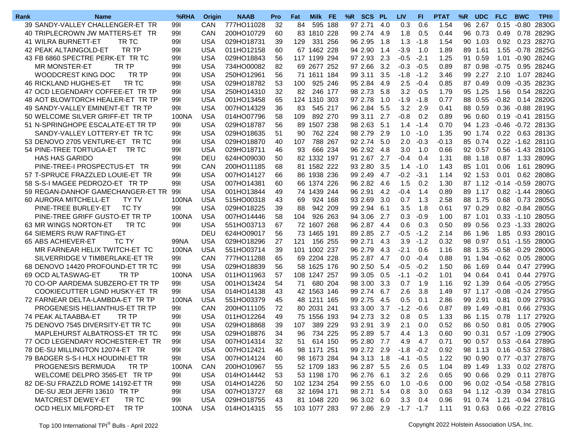| Rank | <b>Name</b>                           | %RHA         | <b>Origin</b> | <b>NAAB</b> | <b>Pro</b> | Fat | Milk FE      | %R SCS PL   |     | <b>LIV</b>   | FL.    | <b>PTAT</b> | %R | <b>UDC</b> | <b>FLC</b>     | <b>BWC</b>    | <b>TPI®</b>               |
|------|---------------------------------------|--------------|---------------|-------------|------------|-----|--------------|-------------|-----|--------------|--------|-------------|----|------------|----------------|---------------|---------------------------|
|      | 39 SANDY-VALLEY CHALLENGER-ET TR      | 991          | <b>CAN</b>    | 777HO11028  | 32         | 84  | 595 188      | 97 2.71     | 4.0 | 0.3          | 0.6    | 1.54        | 96 | 2.67       | $0.15 - 0.80$  |               | 2830G                     |
|      | 40 TRIPLECROWN JW MATTERS-ET TR       | 991          | CAN           | 200HO10729  | 60         | 83  | 1810 228     | 99 2.74     | 4.9 | 1.8          | 0.5    | 0.44        |    | 96 0.73    | 0.49           | 0.78          | 2829G                     |
|      | 41 WILRA BURNETT-ET<br>TR TC          | 991          | <b>USA</b>    | 029HO18731  | 39         | 129 | 331 256      | 96 2.95     | 1.8 | 1.3          | $-1.8$ | 1.54        | 90 | 1.03       | 0.92           |               | 0.23 2827G                |
|      | TR TP<br>42 PEAK ALTAINGOLD-ET        | 991          | <b>USA</b>    | 011HO12158  | 60         |     | 67 1462 228  | 94 2.90     | 1.4 | $-3.9$       | 1.0    | 1.89        | 89 | 1.61       | 1.55           |               | $-0.78$ 2825G             |
|      | 43 FB 6860 SPECTRE PERK-ET TR TC      | 991          | <b>USA</b>    | 029HO18843  | 56         |     | 117 1199 294 | 97 2.93     | 2.3 | $-0.5$       | $-2.1$ | 1.25        |    | 91 0.59    | 1.01           |               | $-0.90$ 2824G             |
|      | <b>MR MONSTER-ET</b><br>TR TP         | 991          | <b>USA</b>    | 734HO00082  | 82         |     | 69 2677 252  | 97 2.66     | 3.2 | $-0.3$       | $-0.5$ | 0.89        |    | 87 0.98    | $-0.75$        |               | 0.95 2824G                |
|      | WOODCREST KING DOC<br>TR TP           | 991          | <b>USA</b>    | 250HO12961  | 56         |     | 71 1611 184  | 99 3.11     | 3.5 | $-1.8$       | $-1.2$ | 3.46        |    | 99 2.27    | 2.10           |               | 1.07 2824G                |
|      | TR TC<br>46 RICKLAND HUGHES-ET        | 991          | <b>USA</b>    | 029HO18782  | 53         | 100 | 925 246      | 95 2.84     | 4.9 | 2.5          | $-0.4$ | 0.85        |    | 87 0.49    | 0.09           |               | $-0.35$ 2823G             |
|      | 47 OCD LEGENDARY COFFEE-ET TR TP      | 991          | <b>USA</b>    | 250HO14310  | 32         | 82  | 246 177      | 98 2.73     | 5.8 | 3.2          | 0.5    | 1.79        |    | 95 1.25    | 1.56           |               | 0.54 2822G                |
|      | 48 AOT BLOWTORCH HEALER-ET TR TP      | 991          | <b>USA</b>    | 001HO13458  | 65         | 124 | 1310 303     | 97 2.78     | 1.0 | $-1.9$       | $-1.8$ | 0.77        |    | 88 0.55    | $-0.82$        | 0.14          | 2820G                     |
|      | 49 SANDY-VALLEY EMINENT-ET TR TP      | 991          | <b>USA</b>    | 007HO14329  | 36         | 83  | 545 217      | 96 2.84     | 5.5 | 3.2          | 2.9    | 0.41        |    | 88 0.59    |                | $0.36 - 0.88$ | 2819G                     |
|      | 50 WELCOME SILVER GRIFF-ET TR TP      | 100NA        | <b>USA</b>    | 014HO07796  | 58         | 109 | 892 270      | 99 3.11     | 2.7 | $-0.8$       | 0.2    | 0.89        |    | 96 0.60    | 0.19           | $-0.41$       | 2815G                     |
|      | 51 N-SPRINGHOPE ESCALATE-ET TR TP     | 991          | <b>USA</b>    | 029HO18787  | 56         | 89  | 1507 238     | 98 2.63     | 5.1 | 1.4          | $-1.4$ | 0.70        |    | 94 1.23    | $-0.46 -0.72$  |               | 2813G                     |
|      | SANDY-VALLEY LOTTERY-ET TR TC         | 991          | <b>USA</b>    | 029HO18635  | 51         | 90  | 762 224      | 98 2.79     | 2.9 | 1.0          | $-1.0$ | 1.35        |    | 90 1.74    | 0.22           |               | 0.63 2813G                |
|      | 53 DENOVO 2705 VENTURE-ET TR TC       | 991          | <b>USA</b>    | 029HO18870  | 40         | 107 | 788 267      | 92 2.74     | 5.0 | 2.0          | $-0.3$ | $-0.13$     |    | 85 0.74    |                |               | 0.22 -1.62 2811G          |
|      |                                       |              | <b>USA</b>    | 029HO18711  |            |     | 666 234      | 96 2.92     | 4.8 | 3.0          | 1.0    | 0.66        |    | 92 0.57    |                |               | 0.56 -1.43 2810G          |
|      | 54 PINE-TREE TORTUGA-ET TR TC         | 991          | <b>DEU</b>    | 624HO09030  | 46         | 93  |              |             |     |              |        |             |    |            |                |               |                           |
|      | <b>HAS HAS GARIDO</b>                 | 991          |               |             | 50         |     | 82 1332 197  | 91 2.67     | 2.7 | -0.4         | 0.4    | 1.31        |    | 88 1.18    | 0.87           |               | 1.33 2809G                |
|      | PINE-TREE-I PROSPECTUS-ET TR          | 991          | CAN           | 200HO11185  | 68         |     | 81 1582 222  | 93 2.80     | 3.5 | 1.4          | $-1.0$ | 1.43        |    | 85 1.01    | 0.06           | 1.61          | 2809G                     |
|      | 57 T-SPRUCE FRAZZLED LOUIE-ET TR      | 991          | <b>USA</b>    | 007HO14127  | 66         |     | 86 1938 236  | 99 2.49     | 4.7 | $-0.2$       | $-3.1$ | 1.14        |    | 92 1.53    | 0.01           |               | 0.62 2808G                |
|      | 58 S-S-I MAGEE PEDROZO-ET TR TP       | 991          | <b>USA</b>    | 007HO14381  | 60         |     | 66 1374 226  | 96 2.82     | 4.6 | 1.5          | 0.2    | 1.30        |    | 87 1.12    |                |               | $-0.14 - 0.59$ 2807G      |
|      | 59 REGAN-DANHOF GAMECHANGER-ET TR     | 991          | <b>USA</b>    | 001HO13844  | 49         |     | 74 1439 244  | 96 2.91     | 4.2 | $-0.4$       | 1.4    | 0.89        |    | 89 1.17    |                |               | 0.82 -1.44 2806G          |
|      | 60 AURORA MITCHELL-ET<br><b>TY TV</b> | 100NA        | <b>USA</b>    | 515HO00318  | 43         | 69  | 924 168      | 93 2.69     | 3.0 | 0.7          | 1.3    | 2.58        |    | 88 1.75    | 0.68           | 0.73          | 2805G                     |
|      | PINE-TREE BURLEY-ET<br><b>TC TY</b>   | 991          | <b>USA</b>    | 029HO18225  | 39         | 88  | 942 209      | 99 2.94     | 6.1 | 3.5          | 1.8    | 0.61        |    | 97 0.29    |                | $0.82 - 0.84$ | 2805G                     |
|      | PINE-TREE GRIFF GUSTO-ET TR TP        | 100NA        | <b>USA</b>    | 007HO14446  | 58         | 104 | 926 263      | 94 3.06     | 2.7 | 0.3          | $-0.9$ | 1.00        |    | 87 1.01    |                | $0.33 - 1.10$ | 2805G                     |
|      | 63 MR WINGS NORTON-ET<br>TR TC        | 991          | <b>USA</b>    | 551HO03713  | 67         |     | 72 1607 268  | 96 2.87     | 4.4 | 0.6          | 0.3    | 0.50        |    | 89 0.56    |                | $0.23 - 1.33$ | 2802G                     |
|      | 64 SIEMERS RUW RAFTING-ET             |              | <b>DEU</b>    | 624HO09017  | 56         |     | 73 1465 191  | 89 2.85     | 2.7 | $-0.5$       | $-1.2$ | 2.14        |    | 86 1.96    | 1.85           |               | 0.93 2801G                |
|      | 65 ABS ACHIEVER-ET<br>TC TY           | 99NA         | <b>USA</b>    | 029HO18296  | 27         | 121 | 156 255      | 99 2.71     | 4.3 | 3.9          | $-1.2$ | 0.32        |    | 98 0.97    |                | $0.51 - 1.55$ | 2800G                     |
|      | MR FARNEAR HELIX TWITCH-ET TC         | 100NA        | <b>USA</b>    | 551HO03714  | 39         | 101 | 1002 237     | 96 2.79     | 4.3 | $-2.1$       | 0.6    | 1.16        |    | 88 1.35    | $-0.58 - 0.29$ |               | 2800G                     |
|      | SILVERRIDGE V TIMBERLAKE-ET TR        | 991          | CAN           | 777HO11288  | 65         |     | 69 2204 228  | 95 2.87     | 4.7 | 0.0          | $-0.4$ | 0.88        |    | 91 1.94    | $-0.62$        |               | 0.05 2800G                |
|      | 68 DENOVO 14420 PROFOUND-ET TR TC     | 991          | <b>USA</b>    | 029HO18839  | 56         |     | 58 1625 176  | 90 2.50     | 5.4 | $-0.5$       | $-0.2$ | 1.50        | 86 | 1.69       | 0.44           |               | 0.47 2799G                |
|      | 69 OCD ALTASWAG-ET<br>TR TP           | <b>100NA</b> | <b>USA</b>    | 011HO11963  | 57         |     | 108 1247 257 | 99 3.05     | 0.5 | $-1.1$       | $-0.2$ | 1.01        |    | 94 0.64    | 0.41           |               | 0.44 2797G                |
|      | 70 CO-OP AARDEMA SUBZERO-ET TR TP     | 991          | <b>USA</b>    | 001HO13424  | 54         | 71  | 680 204      | 98 3.00     | 3.3 | 0.7          | 1.9    | 1.16        |    | 92 1.39    | 0.64           |               | $-0.05$ 2795G             |
|      | COOKIECUTTER LGND HUSKY-ET TR         | 991          | <b>USA</b>    | 014HO14138  | 43         |     | 42 1563 146  | 99 2.74     | 6.7 | 2.6          | 3.8    | 1.49        |    | 97 1.17    | $-0.08$        |               | $-0.24$ 2795G             |
|      | 72 FARNEAR DELTA-LAMBDA-ET TR TP      | 100NA        | <b>USA</b>    | 551HO03379  | 45         | 48  | 1211 165     | 99 2.75     | 4.5 | 0.5          | 0.1    | 2.86        |    | 99 2.91    | 0.81           |               | 0.09 2793G                |
|      | PROGENESIS HELIANTHUS-ET TR TP        | 991          | <b>CAN</b>    | 200HO11105  | 72         |     | 80 2031 241  | 93 3.00     | 3.7 | $-1.2$       | $-0.6$ | 0.87        |    | 89 1.49    | $-0.81$        |               | 0.66 2793G                |
|      | 74 PEAK ALTAABBA-ET<br>TR TP          | 991          | <b>USA</b>    | 011HO12264  | 49         | 75  | 1556 193     | 94 2.73     | 3.2 | 0.8          | 0.5    | 1.33        |    | 86 1.15    | 0.78           | 1.17          | 2792G                     |
|      | 75 DENOVO 7545 DIVERSITY-ET TR TC     | 991          | <b>USA</b>    | 029HO18868  | 39         | 107 | 389 229      | 93 2.91     | 3.9 | 2.1          | 0.0    | 0.52        |    | 86 0.50    | 0.81           | 0.05          | 2790G                     |
|      | MAPLEHURST ALBATROSS-ET TR TC         | 991          | <b>USA</b>    | 029HO18876  | 34         | 96  | 734 225      | 95 2.89     | 5.7 | 4.4          | 1.3    | 0.60        |    | 90 0.31    |                |               | 0.57 -1.09 2790G          |
|      | 77 OCD LEGENDARY ROCHESTER-ET TR      | 991          | <b>USA</b>    | 007HO14314  | 32         | 51  | 614 150      | 95 2.80 7.7 |     | 4.9          | 4.7    | 0.71        |    |            |                |               | 90 0.57 0.53 -0.64 2789G  |
|      | 78 DE-SU MILLINGTON 12074-ET TR       | 991          | <b>USA</b>    | 007HO12421  | 46         |     | 98 1171 251  | 99 2.72 2.9 |     | $-1.8$       | $-0.2$ | 0.92        |    | 98 1.13    |                |               | 0.16 -0.53 2788G          |
|      | 79 BADGER S-S-I HLX HOUDINI-ET TR     | 991          | <b>USA</b>    | 007HO14124  | 60         |     | 98 1673 284  | 94 3.13 1.8 |     | $-4.1$       | $-0.5$ | 1.22        |    | 90 0.90    |                |               | 0.77 -0.37 2787G          |
|      | PROGENESIS BERMUDA<br>TR TP           | 100NA        | CAN           | 200HO10967  | 55         |     | 52 1709 183  | 96 2.87 5.5 |     | 2.6          | 0.5    | 1.04        |    | 89 1.49    |                |               | 1.33 0.02 2787G           |
|      | WELCOME DELPRO 3565-ET TR TP          | 991          | <b>USA</b>    | 014HO14442  | 53         |     | 53 1198 170  | 96 2.76 6.1 |     | 3.2          | 2.6    | 0.65        |    | 90 0.66    |                |               | 0.29 0.11 2787G           |
|      | 82 DE-SU FRAZZLD ROME 14192-ET TR     | 991          | <b>USA</b>    | 014HO14226  | 50         |     | 102 1234 254 | 99 2.55 6.0 |     | 1.0          | $-0.6$ | 0.00        |    |            |                |               | 96 0.02 -0.54 -0.58 2781G |
|      | DE-SU JEDI JEFRI 13610 TR TP          | 991          | <b>USA</b>    | 007HO13727  | 68         |     | 32 1694 171  | 98 2.71 5.4 |     | 0.8          | 3.0    | 0.63        |    |            |                |               | 94 1.12 -0.39 0.34 2781G  |
|      | MATCREST DEWEY-ET<br>TR TC            | 991          | <b>USA</b>    | 029HO18755  | 43         |     | 81 1048 220  | 96 3.02 6.0 |     | 3.3          | 0.4    | 0.96        |    | 91 0.74    |                |               | 1.21 -0.94 2781G          |
|      | TR TP<br>OCD HELIX MILFORD-ET         | 100NA        | <b>USA</b>    | 014HO14315  | 55         |     | 103 1077 283 | 97 2.86 2.9 |     | $-1.7 - 1.7$ |        | 1.11        |    | 91 0.63    |                |               | 0.66 - 0.22 2781G         |
|      |                                       |              |               |             |            |     |              |             |     |              |        |             |    |            |                |               |                           |